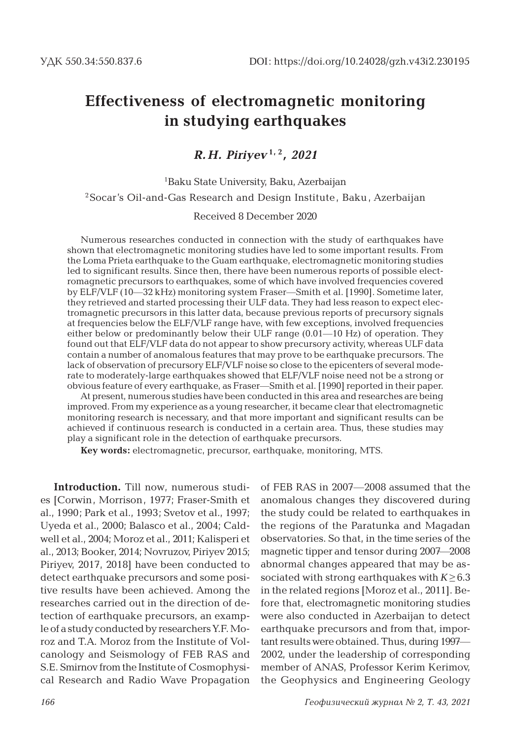# **Effectiveness of electromagnetic monitoring in studying earthquakes**

## *R. H. Piriyev* **1, 2** *, 2021*

## 1 Baku State University, Baku, Azerbaijan <sup>2</sup>Socar's Oil-and-Gas Research and Design Institute, Baku, Azerbaijan

#### Received 8 December 2020

Numerous researches conducted in connection with the study of earthquakes have shown that electromagnetic monitoring studies have led to some important results. From the Loma Prieta earthquake to the Guam earthquake, electromagnetic monitoring studies led to significant results. Since then, there have been numerous reports of possible electromagnetic precursors to earthquakes, some of which have involved frequencies covered by ELF/VLF (10—32 kHz) monitoring system Fraser—Smith et al. [1990]. Sometime later, they retrieved and started processing their ULF data. They had less reason to expect electromagnetic precursors in this latter data, because previous reports of precursory signals at frequencies below the ELF/VLF range have, with few exceptions, involved frequencies either below or predominantly below their ULF range (0.01—10 Hz) of operation. They found out that ELF/VLF data do not appear to show precursory activity, whereas ULF data contain a number of anomalous features that may prove to be earthquake precursors. The lack of observation of precursory ELF/VLF noise so close to the epicenters of several moderate to moderately-large earthquakes showed that ELF/VLF noise need not be a strong or obvious feature of every earthquake, as Fraser—Smith et al. [1990] reported in their paper.

At present, numerous studies have been conducted in this area and researches are being improved. From my experience as a young researcher, it became clear that electromagnetic monitoring research is necessary, and that more important and significant results can be achieved if continuous research is conducted in a certain area. Thus, these studies may play a significant role in the detection of earthquake precursors.

**Key words:** electromagnetic, precursor, earthquake, monitoring, MTS.

**Introduction.** Till now, numerous studies [Corwin, Morrison, 1977; Fraser-Smith et al., 1990; Park et al., 1993; Svetov et al., 1997; Uyeda et al., 2000; Balasco et al., 2004; Caldwell et al., 2004; Moroz et al., 2011; Kalisperi et al., 2013; Booker, 2014; Novruzov, Piriyev 2015; Piriyev, 2017, 2018] have been conducted to detect earthquake precursors and some positive results have been achieved. Among the researches carried out in the direction of detection of earthquake precursors, an example of a study conducted by researchers Y.F. Moroz and T.A. Moroz from the Institute of Volcanology and Seismology of FEB RAS and S.E. Smirnov from the Institute of Cosmophysical Research and Radio Wave Propagation

of FEB RAS in 2007—2008 assumed that the anomalous changes they discovered during the study could be related to earthquakes in the regions of the Paratunka and Magadan observatories. So that, in the time series of the magnetic tipper and tensor during 2007—2008 abnormal changes appeared that may be associated with strong earthquakes with  $K \geq 6.3$ in the related regions [Moroz et al., 2011]. Before that, electromagnetic monitoring studies were also conducted in Azerbaijan to detect earthquake precursors and from that, important results were obtained. Thus, during 1997— 2002, under the leadership of corresponding member of ANAS, Professor Kerim Kerimov, the Geophysics and Engineering Geology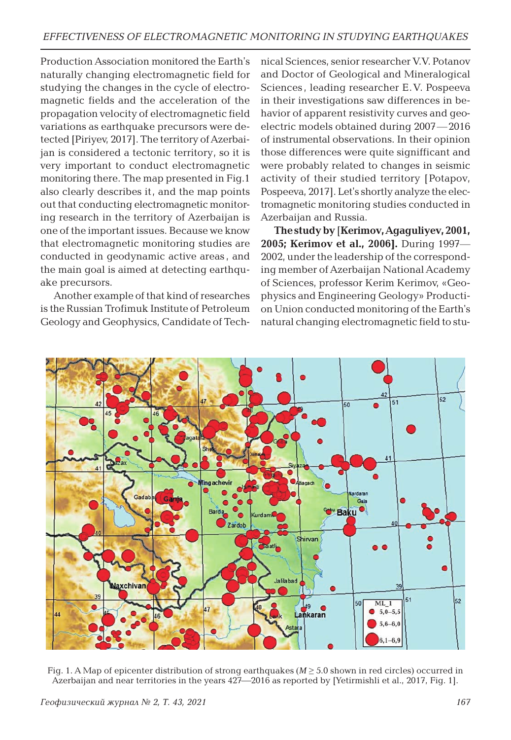Production Association monitored the Earth's naturally changing electromagnetic field for studying the changes in the cycle of electromagnetic fields and the acceleration of the propagation velocity of electromagnetic field variations as earthquake precursors were detected [Piriyev, 2017]. The territory of Azerbaijan is considered a tectonic territory, so it is very important to conduct electromagnetic monitoring there. The map presented in Fig.1 also clearly describes it, and the map points out that conducting electromagnetic monitoring research in the territory of Azerbaijan is one of the important issues. Because we know that electromagnetic monitoring studies are conducted in geodynamic active areas , and the main goal is aimed at detecting earthquake precursors.

Another example of that kind of researches is the Russian Trofimuk Institute of Petroleum Geology and Geophysics, Candidate of Technical Sciences, senior researcher V.V. Potanov and Doctor of Geological and Mineralogical Sciences , leading researcher E.V. Pospeeva in their investigations saw differences in behavior of apparent resistivity curves and geoelectric models obtained during 2007—2016 of instrumental observations. In their opinion those differences were quite signifficant and were probably related to changes in seismic activity of their studied territory [Potapov, Pospeeva, 2017]. Let's shortly analyze the electromagnetic monitoring studies conducted in Azerbaijan and Russia.

**The study by** [**Kerimov,Agaguliyev, 2001, 2005; Kerimov et al., 2006].** During 1997— 2002, under the leadership of the corresponding member of Azerbaijan National Academy of Sciences, professor Kerim Kerimov, «Geophysics and Engineering Geology» Production Union conducted monitoring of the Earth's natural changing electromagnetic field to stu-



Fig. 1. A Map of epicenter distribution of strong earthquakes ( $M \geq 5.0$  shown in red circles) occurred in Azerbaijan and near territories in the years  $427-2016$  as reported by [Yetirmishli et al., 2017, Fig. 1].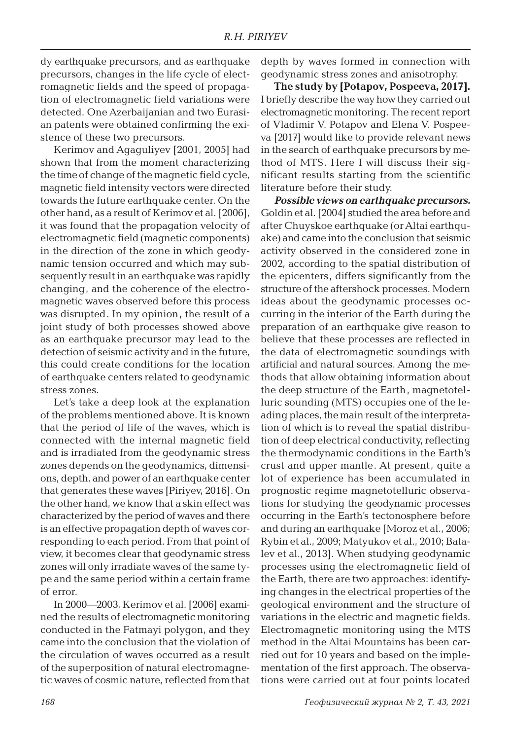dy earthquake precursors, and as earthquake precursors, changes in the life cycle of electromagnetic fields and the speed of propagation of electromagnetic field variations were detected. One Azerbaijanian and two Eurasian patents were obtained confirming the existence of these two precursors.

Kerimov and Agaguliyev [2001, 2005] had shown that from the moment characterizing the time of change of the magnetic field cycle, magnetic field intensity vectors were directed towards the future earthquake center. On the other hand, as a result of Kerimov et al. [2006], it was found that the propagation velocity of electromagnetic field (magnetic components) in the direction of the zone in which geodynamic tension occurred and which may subsequently result in an earthquake was rapidly changing, and the coherence of the electromagnetic waves observed before this process was disrupted. In my opinion, the result of a joint study of both processes showed above as an earthquake precursor may lead to the detection of seismic activity and in the future, this could create conditions for the location of earthquake centers related to geodynamic stress zones.

Let's take a deep look at the explanation of the problems mentioned above. It is known that the period of life of the waves, which is connected with the internal magnetic field and is irradiated from the geodynamic stress zones depends on the geodynamics, dimensions, depth, and power of an earthquake center that generates these waves [Piriyev, 2016]. On the other hand, we know that a skin effect was characterized by the period of waves and there is an effective propagation depth of waves corresponding to each period. From that point of view, it becomes clear that geodynamic stress zones will only irradiate waves of the same type and the same period within a certain frame of error.

In 2000—2003, Kerimov et al. [2006] examined the results of electromagnetic monitoring conducted in the Fatmayi polygon, and they came into the conclusion that the violation of the circulation of waves occurred as a result of the superposition of natural electromagnetic waves of cosmic nature, reflected from that

depth by waves formed in connection with geodynamic stress zones and anisotrophy.

**The study by [Potapov, Pospeeva, 2017].** I briefly describe the way how they carried out electromagnetic monitoring. The recent report of Vladimir V. Potapov and Elena V. Pospeeva [2017] would like to provide relevant news in the search of earthquake precursors by method of MTS. Here I will discuss their significant results starting from the scientific literature before their study.

*Possible views on earthquake precursors.* Goldin et al. [2004] studied the area before and after Chuyskoe earthquake (or Altai earthquake) and came into the conclusion that seismic activity observed in the considered zone in 2002, according to the spatial distribution of the epicenters, differs significantly from the structure of the aftershock processes. Modern ideas about the geodynamic processes occurring in the interior of the Earth during the preparation of an earthquake give reason to believe that these processes are reflected in the data of electromagnetic soundings with artificial and natural sources. Among the methods that allow obtaining information about the deep structure of the Earth, magnetotelluric sounding (MTS) occupies one of the leading places, the main result of the interpretation of which is to reveal the spatial distribution of deep electrical conductivity, reflecting the thermodynamic conditions in the Earth's crust and upper mantle. At present, quite a lot of experience has been accumulated in prognostic regime magnetotelluric observations for studying the geodynamic processes occurring in the Earth's tectonosphere before and during an earthquake [Moroz et al., 2006; Rybin et al., 2009; Matyukov et al., 2010; Batalev et al., 2013]. When studying geodynamic processes using the electromagnetic field of the Earth, there are two approaches: identifying changes in the electrical properties of the geological environment and the structure of variations in the electric and magnetic fields. Electromagnetic monitoring using the MTS method in the Altai Mountains has been carried out for 10 years and based on the implementation of the first approach. The observations were carried out at four points located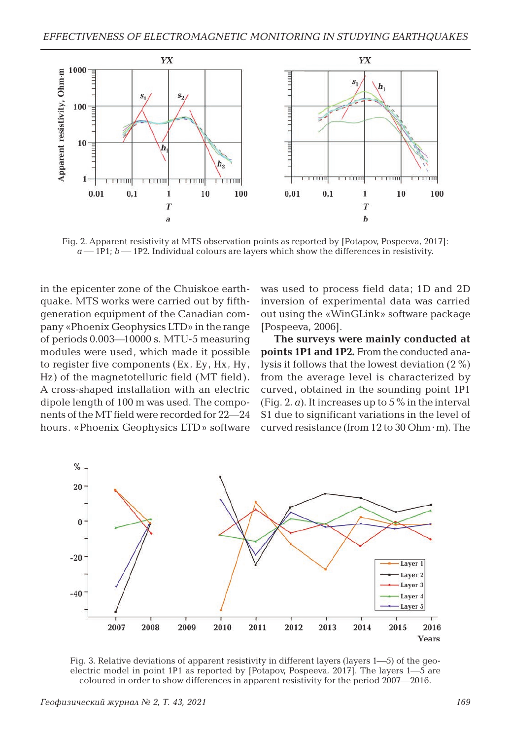

Fig. 2. Apparent resistivity at MTS observation points as reported by [Potapov, Pospeeva, 2017]:  $a$  – 1P1;  $b$  – 1P2. Individual colours are layers which show the differences in resistivity.

in the epicenter zone of the Chuiskoe earthquake. MTS works were carried out by fifthgeneration equipment of the Canadian company «Phoenix Geophysics LTD» in the range of periods 0.003—10000 s. MTU-5 measuring modules were used, which made it possible to register five components (Ex, Ey, Hx, Hy, Hz) of the magnetotelluric field (MT field). A cross-shaped installation with an electric dipole length of 100 m was used. The components of the MT field were recorded for 22—24 hours. «Phoenix Geophysics LTD» software was used to process field data; 1D and 2D inversion of experimental data was carried out using the «WinGLink» software package [Pospeeva, 2006].

**The surveys were mainly conducted at points 1P1 and 1P2.** From the conducted analysis it follows that the lowest deviation (2 %) from the average level is characterized by curved, obtained in the sounding point 1P1 (Fig. 2,  $\alpha$ ). It increases up to 5  $\%$  in the interval S1 due to significant variations in the level of curved resistance (from 12 to 30 Ohm · m). The



Fig. 3. Relative deviations of apparent resistivity in different layers (layers 1—5) of the geoelectric model in point 1P1 as reported by  $[Potapov, Pospeeva, 2017]$ . The layers 1—5 are coloured in order to show differences in apparent resistivity for the period 2007—2016.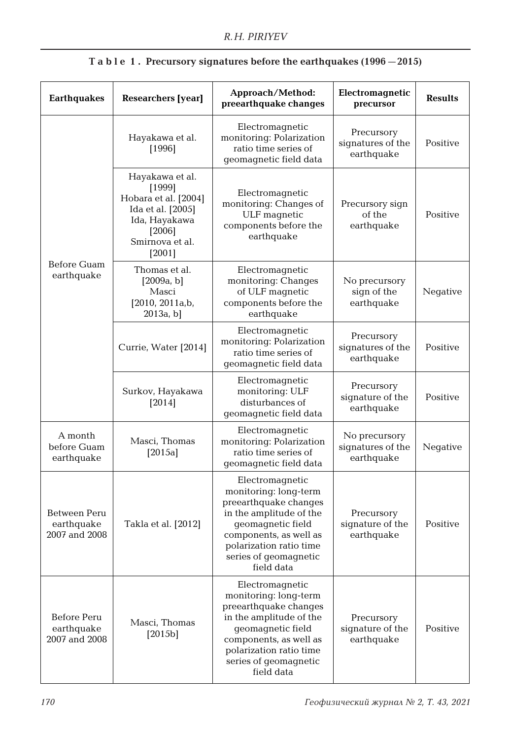| <b>Earthquakes</b>                          | <b>Researchers</b> [year]                                                                                                                         | Approach/Method:<br>preearthquake changes                                                                                                                                                                     | Electromagnetic<br>precursor                     | <b>Results</b> |
|---------------------------------------------|---------------------------------------------------------------------------------------------------------------------------------------------------|---------------------------------------------------------------------------------------------------------------------------------------------------------------------------------------------------------------|--------------------------------------------------|----------------|
| <b>Before Guam</b><br>earthquake            | Hayakawa et al.<br>[1996]                                                                                                                         | Electromagnetic<br>monitoring: Polarization<br>ratio time series of<br>geomagnetic field data                                                                                                                 | Precursory<br>signatures of the<br>earthquake    | Positive       |
|                                             | Hayakawa et al.<br>[1999]<br>Hobara et al. [2004]<br>Ida et al. [2005]<br>Ida, Hayakawa<br>[2006]<br>Smirnova et al.<br>[2001]                    | Electromagnetic<br>monitoring: Changes of<br>ULF magnetic<br>components before the<br>earthquake                                                                                                              | Precursory sign<br>of the<br>earthquake          | Positive       |
|                                             | Thomas et al.<br>[2009a, b]<br>Masci<br>[2010, 2011a,b,<br>2013a, b]                                                                              | Electromagnetic<br>monitoring: Changes<br>of ULF magnetic<br>components before the<br>earthquake                                                                                                              | No precursory<br>sign of the<br>earthquake       | Negative       |
|                                             | Electromagnetic<br>Precursory<br>monitoring: Polarization<br>Currie, Water [2014]<br>ratio time series of<br>earthquake<br>geomagnetic field data |                                                                                                                                                                                                               | signatures of the                                | Positive       |
|                                             | Surkov, Hayakawa<br>[2014]                                                                                                                        | Electromagnetic<br>monitoring: ULF<br>disturbances of<br>geomagnetic field data                                                                                                                               | Precursory<br>signature of the<br>earthquake     | Positive       |
| A month<br>before Guam<br>earthquake        | Masci, Thomas<br>$[2015a]$                                                                                                                        | Electromagnetic<br>monitoring: Polarization<br>ratio time series of<br>geomagnetic field data                                                                                                                 | No precursory<br>signatures of the<br>earthquake | Negative       |
| Between Peru<br>earthquake<br>2007 and 2008 | Takla et al. [2012]                                                                                                                               | Electromagnetic<br>monitoring: long-term<br>preearthquake changes<br>in the amplitude of the<br>geomagnetic field<br>components, as well as<br>polarization ratio time<br>series of geomagnetic<br>field data | Precursory<br>signature of the<br>earthquake     | Positive       |
| Before Peru<br>earthquake<br>2007 and 2008  | Masci, Thomas<br>$[2015b]$                                                                                                                        | Electromagnetic<br>monitoring: long-term<br>preearthquake changes<br>in the amplitude of the<br>geomagnetic field<br>components, as well as<br>polarization ratio time<br>series of geomagnetic<br>field data | Precursory<br>signature of the<br>earthquake     | Positive       |

### **T a b l e 1 . Precursory signatures before the earthquakes (1996—2015)**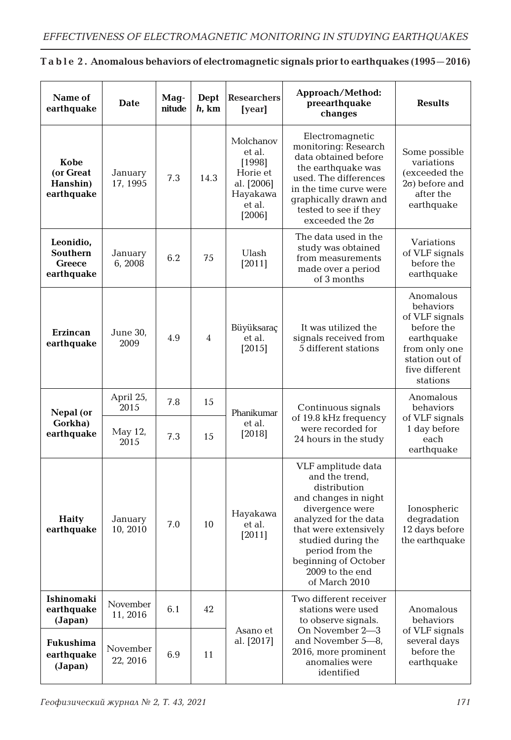| Name of<br>earthquake                                | Date                                 | Mag-<br>nitude | Dept<br>$h$ , km | <b>Researchers</b><br>[year]                                                            | Approach/Method:<br>preearthquake<br>changes                                                                                                                                                                                                           | <b>Results</b>                                                                                                                        |                                                                                              |
|------------------------------------------------------|--------------------------------------|----------------|------------------|-----------------------------------------------------------------------------------------|--------------------------------------------------------------------------------------------------------------------------------------------------------------------------------------------------------------------------------------------------------|---------------------------------------------------------------------------------------------------------------------------------------|----------------------------------------------------------------------------------------------|
| Kobe<br>(or Great<br>Hanshin)<br>earthquake          | January<br>17, 1995                  | 7.3            | 14.3             | Molchanov<br>et al.<br>[1998]<br>Horie et<br>al. [2006]<br>Hayakawa<br>et al.<br>[2006] | Electromagnetic<br>monitoring: Research<br>data obtained before<br>the earthquake was<br>used. The differences<br>in the time curve were<br>graphically drawn and<br>tested to see if they<br>exceeded the $2\sigma$                                   | Some possible<br>variations<br>(exceeded the<br>$2\sigma$ ) before and<br>after the<br>earthquake                                     |                                                                                              |
| Leonidio,<br>Southern<br><b>Greece</b><br>earthquake | January<br>6,2008                    | 6.2            | 75               | Ulash<br>[2011]                                                                         | The data used in the<br>study was obtained<br>from measurements<br>made over a period<br>of 3 months                                                                                                                                                   | Variations<br>of VLF signals<br>before the<br>earthquake                                                                              |                                                                                              |
| <b>Erzincan</b><br>earthquake                        | June 30,<br>2009                     | 4.9            | $\overline{4}$   | Büyüksaraç<br>et al.<br>[2015]                                                          | It was utilized the<br>signals received from<br>5 different stations                                                                                                                                                                                   | Anomalous<br>behaviors<br>of VLF signals<br>before the<br>earthquake<br>from only one<br>station out of<br>five different<br>stations |                                                                                              |
| Nepal (or<br>Gorkha)<br>earthquake                   | April 25,<br>2015<br>May 12,<br>2015 | 7.8<br>7.3     | 15<br>15         | Phanikumar<br>et al.<br>[2018]                                                          | Continuous signals<br>of 19.8 kHz frequency<br>were recorded for<br>24 hours in the study                                                                                                                                                              | Anomalous<br>behaviors<br>of VLF signals<br>1 day before<br>each<br>earthquake                                                        |                                                                                              |
| <b>Haity</b><br>earthquake                           | January<br>10, 2010                  | 7.0            | 10               | Hayakawa<br>et al.<br>[2011]                                                            | VLF amplitude data<br>and the trend,<br>distribution<br>and changes in night<br>divergence were<br>analyzed for the data<br>that were extensively<br>studied during the<br>period from the<br>beginning of October<br>2009 to the end<br>of March 2010 | Ionospheric<br>degradation<br>12 days before<br>the earthquake                                                                        |                                                                                              |
| Ishinomaki<br>earthquake<br>(Japan)                  | November<br>11, 2016                 | 6.1            | 42               | Asano et<br>al. [2017]                                                                  | Two different receiver<br>stations were used<br>to observe signals.                                                                                                                                                                                    | Anomalous<br>behaviors                                                                                                                |                                                                                              |
| Fukushima<br>earthquake<br>(Japan)                   | November<br>22, 2016                 | 6.9            | 11               |                                                                                         |                                                                                                                                                                                                                                                        |                                                                                                                                       | On November 2-3<br>and November 5-8,<br>2016, more prominent<br>anomalies were<br>identified |

### **T a b l e 2 . Anomalous behaviors of electromagnetic signals prior to earthquakes (1995—2016)**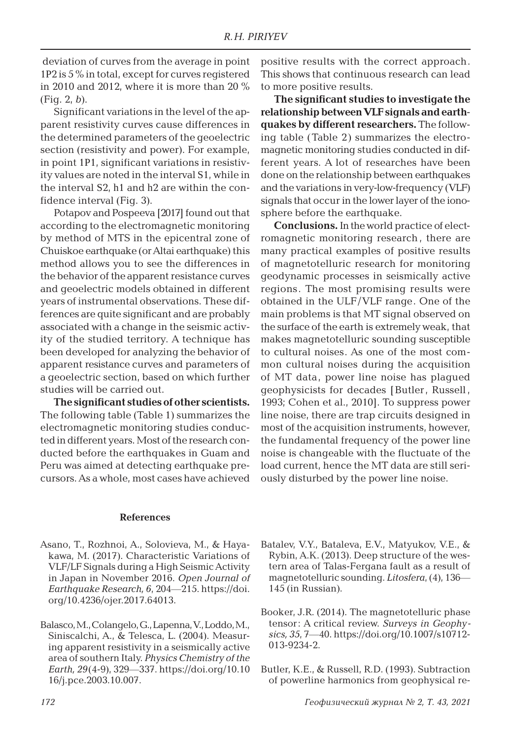deviation of curves from the average in point 1P2 is 5 % in total, except for curves registered in 2010 and 2012, where it is more than 20 % (Fig. 2, *b*).

Significant variations in the level of the apparent resistivity curves cause differences in the determined parameters of the geoelectric section (resistivity and power). For example, in point 1P1, significant variations in resistivity values are noted in the interval S1, while in the interval S2, h1 and h2 are within the confidence interval (Fig. 3).

Potapov and Pospeeva [2017] found out that according to the electromagnetic monitoring by method of MTS in the epicentral zone of Chuiskoe earthquake (or Altai earthquake) this method allows you to see the differences in the behavior of the apparent resistance curves and geoelectric models obtained in different years of instrumental observations. These differences are quite significant and are probably associated with a change in the seismic activity of the studied territory. A technique has been developed for analyzing the behavior of apparent resistance curves and parameters of a geoelectric section, based on which further studies will be carried out.

**The significant studies of other scientists.** The following table (Table 1) summarizes the electromagnetic monitoring studies conducted in different years. Most of the research conducted before the earthquakes in Guam and Peru was aimed at detecting earthquake precursors. As a whole, most cases have achieved positive results with the correct approach. This shows that continuous research can lead to more positive results.

**The significant studies to investigate the relationship between VLF signals and earthquakes by different researchers.** The following table (Table 2) summarizes the electromagnetic monitoring studies conducted in different years. A lot of researches have been done on the relationship between earthquakes and the variations in very-low-frequency (VLF) signals that occur in the lower layer of the ionosphere before the earthquake.

**Conclusions.** In the world practice of electromagnetic monitoring research , there are many practical examples of positive results of magnetotelluric research for monitoring geodynamic processes in seismically active regions. The most promising results were obtained in the ULF/VLF range. One of the main problems is that MT signal observed on the surface of the earth is extremely weak, that makes magnetotelluric sounding susceptible to cultural noises. As one of the most common cultural noises during the acquisition of MT data, power line noise has plagued geophysicists for decades [Butler, Russell , 1993; Cohen et al., 2010]. To suppress power line noise, there are trap circuits designed in most of the acquisition instruments, however, the fundamental frequency of the power line noise is changeable with the fluctuate of the load current, hence the MT data are still seriously disturbed by the power line noise.

#### **References**

- Asano, T., Rozhnoi, A., Solovieva, M., & Hayakawa, M. (2017). Characteristic Variations of VLF/LF Signals during a High Seismic Activity in Japan in November 2016. *Open Journal of Earthquake Research, 6*, 204—215. https://doi. org/10.4236/ojer.2017.64013.
- Balasco, M., Colangelo, G., Lapenna, V., Loddo, M., Siniscalchi, A., & Telesca, L. (2004). Measuring apparent resistivity in a seismically active area of southern Italy. *Physics Chemistry of the Earth, 29*(4-9), 329—337. https://doi.org/10.10 16/j.pce.2003.10.007.
- Batalev, V.Y., Bataleva, E.V., Matyukov, V.E., & Rybin, A.K. (2013). Deep structure of the western area of Talas-Fergana fault as a result of magnetotelluric sounding. *Litosfera*, (4), 136— 145 (in Russian).
- Booker, J.R. (2014). The magnetotelluric phase tensor: A critical review. *Surveys in Geophysics, 35*, 7—40. https://doi.org/10.1007/s10712- 013-9234-2.
- Butler, K.E., & Russell, R.D. (1993). Subtraction of powerline harmonics from geophysical re-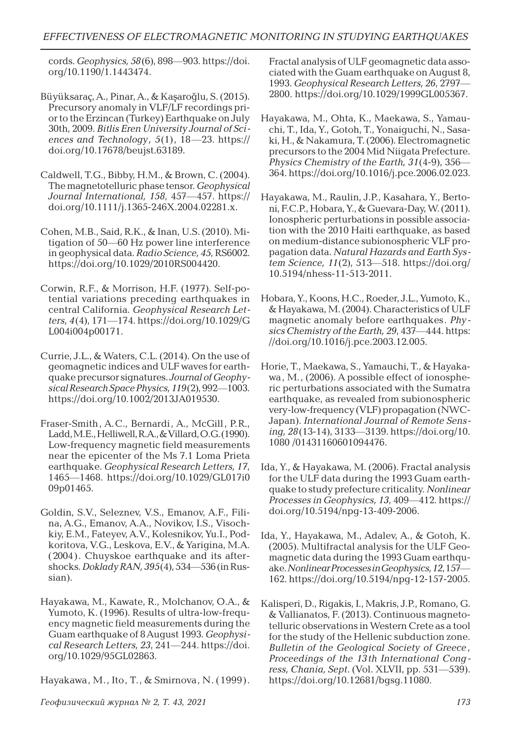cords. *Geophysics, 58*(6), 898—903. https://doi. org/10.1190/1.1443474.

- Büyüksaraç, A., Pinar, A., & Kaşaroğlu, S. (2015). Precursory anomaly in VLF/LF recordings prior to the Erzincan (Turkey) Earthquake on July 30th, 2009. *Bitlis Eren University Journal of Sciences and Technology, 5*(1), 18—23. https:// doi.org/10.17678/beujst.63189.
- Caldwell, T.G., Bibby, H.M., & Brown, C. (2004). The magnetotelluric phase tensor. *Geophysical Journal International, 158*, 457—457. https:// doi.org/10.1111/j.1365-246X.2004.02281.x.
- Cohen, M.B., Said, R.K., & Inan, U.S. (2010). Mitigation of 50—60 Hz power line interference in geophysical data. *Radio Science, 45*, RS6002. https://doi.org/10.1029/2010RS004420.
- Corwin, R.F., & Morrison, H.F. (1977). Self-potential variations preceding earthquakes in central California. *Geophysical Research Letters, 4*(4), 171—174. https://doi.org/10.1029/G L004i004p00171.
- Currie, J.L., & Waters, C.L. (2014). On the use of geomagnetic indices and ULF waves for earthquake precursor signatures. *Journal of Geophysical Research Space Physics, 119*(2), 992—1003. https://doi.org/10.1002/2013JA019530.
- Fraser-Smith, A.C., Bernardi, A., McGill, P.R., Ladd, M.E., Helliwell, R.A., & Villard, O.G. (1990). Low-frequency magnetic field measurements near the epicenter of the Ms 7.1 Loma Prieta earthquake. *Geophysical Research Letters, 17*, 1465—1468. https://doi.org/10.1029/GL017i0 09p01465.
- Goldin, S.V., Seleznev, V.S., Emanov, A.F., Filina, A.G., Emanov, A.A., Novikov, I.S., Visochkiy, E.M., Fateyev, A.V., Kolesnikov, Yu.I., Podkoritova, V.G., Leskova, E.V., & Yarigina, M.A. (2004). Chuyskoe earthquake and its aftershocks. *Doklady RAN, 395*(4), 534—536 (in Russian).
- Hayakawa, M., Kawate, R., Molchanov, O.A., & Yumoto, K. (1996). Results of ultra-low-frequency magnetic field measurements during the Guam earthquake of 8 August 1993. *Geophysical Research Letters, 23*, 241—244. https://doi. org/10.1029/95GL02863.

Hayakawa, M., Ito, T., & Smirnova, N. (1999).

Fractal analysis of ULF geomagnetic data associated with the Guam earthquake on August 8, 1993. *Geophysical Research Letters, 26*, 2797— 2800. https://doi.org/10.1029/1999GL005367.

- Hayakawa, M., Ohta, K., Maekawa, S., Yamauchi, T., Ida, Y., Gotoh, T., Yonaiguchi, N., Sasaki, H., & Nakamura, T. (2006). Electromagnetic precursors to the 2004 Mid Niigata Prefecture. *Physics Chemistry of the Earth, 31*(4-9), 356— 364. https://doi.org/10.1016/j.pce.2006.02.023.
- Hayakawa, M., Raulin, J.P., Kasahara, Y., Bertoni, F.C.P., Hobara, Y., & Guevara-Day, W. (2011). Ionospheric perturbations in possible association with the 2010 Haiti earthquake, as based on medium-distance subionospheric VLF propagation data. *Natural Hazards and Earth System Science, 11*(2), 513—518. https://doi.org/ 10.5194/nhess-11-513-2011.
- Hobara, Y., Koons, H.C., Roeder, J.L., Yumoto, K., & Hayakawa, M. (2004). Characteristics of ULF magnetic anomaly before earthquakes. *Physics Chemistry of the Earth, 29*, 437—444. https: //doi.org/10.1016/j.pce.2003.12.005.
- Horie, T., Maekawa, S., Yamauchi, T., & Hayakawa, M., (2006). A possible effect of ionospheric perturbations associated with the Sumatra earthquake, as revealed from subionospheric very-low-frequency (VLF) propagation (NWC-Japan). *International Journal of Remote Sensing, 28*(13-14), 3133—3139. https://doi.org/10. 1080 /01431160601094476.
- Ida, Y., & Hayakawa, M. (2006). Fractal analysis for the ULF data during the 1993 Guam earthquake to study prefecture criticality. *Nonlinear Processes in Geophysics, 13*, 409—412. https:// doi.org/10.5194/npg-13-409-2006.
- Ida, Y., Hayakawa, M., Adalev, A., & Gotoh, K. (2005). Multifractal analysis for the ULF Geomagnetic data during the 1993 Guam earthquake. *Nonlinear Processes in Geophysics, 12*, 157— 162. https://doi.org/10.5194/npg-12-157-2005.
- Kalisperi, D., Rigakis, I., Makris, J.P., Romano, G. & Vallianatos, F. (2013). Continuous magnetotelluric observations in Western Crete as a tool for the study of the Hellenic subduction zone. *Bulletin of the Geological Society of Greece , Proceedings of the 13th International Congress, Chania, Sept.* (Vol. XLVII, pp. 531—539). https://doi.org/10.12681/bgsg.11080.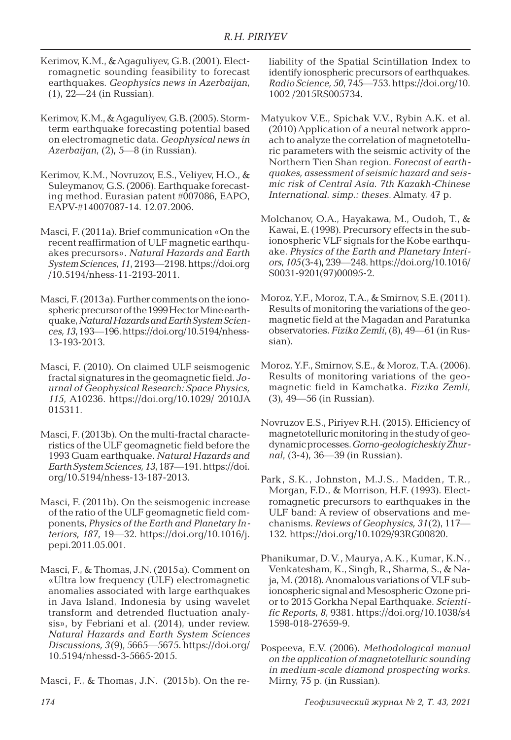- Kerimov, K.M., & Agaguliyev, G.B. (2001). Electromagnetic sounding feasibility to forecast earthquakes. *Geophysics news in Azerbaijan*, (1), 22—24 (in Russian).
- Kerimov, K.M., & Agaguliyev, G.B. (2005). Stormterm earthquake forecasting potential based on electromagnetic data. *Geophysical news in Azerbaijan*, (2), 5—8 (in Russian).
- Kerimov, K.M., Novruzov, E.S., Veliyev, H.O., & Suleymanov, G.S. (2006). Earthquake forecasting method. Eurasian patent #007086, EAPO, EAPV-#14007087-14. 12.07.2006.
- Masci, F. (2011a). Brief communication «On the recent reaffirmation of ULF magnetic earthquakes precursors». *Natural Hazards and Earth System Sciences, 11*, 2193—2198. https://doi.org /10.5194/nhess-11-2193-2011.
- Masci, F. (2013a). Further comments on the ionospheric precursor of the 1999 Hector Mine earthquake, *Natural Hazards and Earth System Sciences,13*, 193—196. https://doi.org/10.5194/nhess-13-193-2013.
- Masci, F. (2010). On claimed ULF seismogenic fractal signatures in the geomagnetic field. *Journal of Geophysical Research: Space Physics, 115*, A10236. https://doi.org/10.1029/ 2010JA 015311.
- Masci, F. (2013b). On the multi-fractal characteristics of the ULF geomagnetic field before the 1993 Guam earthquake. *Natural Hazards and Earth System Sciences,13*, 187—191. https://doi. org/10.5194/nhess-13-187-2013.
- Masci, F. (2011b). On the seismogenic increase of the ratio of the ULF geomagnetic field components, *Physics of the Earth and Planetary Interiors, 187*, 19—32. https://doi.org/10.1016/j. pepi.2011.05.001.
- Masci, F., & Thomas, J.N. (2015a). Comment on «Ultra low frequency (ULF) electromagnetic anomalies associated with large earthquakes in Java Island, Indonesia by using wavelet transform and detrended fluctuation analysis», by Febriani et al. (2014), under review. *Natural Hazards and Earth System Sciences Discussions, 3*(9), 5665—5675. https://doi.org/ 10.5194/nhessd-3-5665-2015.
- Masci, F., & Thomas, J.N. (2015b). On the re-

liability of the Spatial Scintillation Index to identify ionospheric precursors of earthquakes. *Radio Science, 50*, 745—753. https://doi.org/10. 1002 /2015RS005734.

- Matyukov V.E., Spichak V.V., Rybin A.K. et al. (2010) Application of a neural network approach to analyze the correlation of magnetotelluric parameters with the seismic activity of the Northern Tien Shan region. *Forecast of earthquakes, assessment of seismic hazard and seismic risk of Central Asia. 7th Kazakh-Chinese International. simp.: theses*. Almaty, 47 p.
- Molchanov, O.A., Hayakawa, M., Oudoh, T., & Kawai, E. (1998). Precursory effects in the subionospheric VLF signals for the Kobe earthquake. *Physics of the Earth and Planetary Interiors, 105*(3-4), 239—248. https://doi.org/10.1016/ S0031-9201(97)00095-2.
- Moroz, Y.F., Moroz, T.A., & Smirnov, S.E. (2011). Results of monitoring the variations of the geomagnetic field at the Magadan and Paratunka observatories. *Fizika Zemli*, (8), 49—61 (in Russian).
- Moroz, Y.F., Smirnov, S.E., & Moroz, T.A. (2006). Results of monitoring variations of the geomagnetic field in Kamchatka. *Fizika Zemli*, (3), 49—56 (in Russian).
- Novruzov E.S., Piriyev R.H. (2015). Efficiency of magnetotelluric monitoring in the study of geodynamic processes. *Gorno-geologicheskiy Zhurnal*, (3-4), 36—39 (in Russian).
- Park, S.K., Johnston, M.J.S., Madden, T.R., Morgan, F.D., & Morrison, H.F. (1993). Electromagnetic precursors to earthquakes in the ULF band: A review of observations and mechanisms. *Reviews of Geophysics, 31*(2), 117— 132. https://doi.org/10.1029/93RG00820.
- Phanikumar, D.V., Maurya, A.K., Kumar, K.N., Venkatesham, K., Singh, R., Sharma, S., & Naja, M. (2018). Anomalous variations of VLF subionospheric signal and Mesospheric Ozone prior to 2015 Gorkha Nepal Earthquake*. Scientific Reports, 8*, 9381. https://doi.org/10.1038/s4 1598-018-27659-9.
- Pospeeva, E.V. (2006). *Methodological manual on the application of magnetotelluric sounding in medium-scale diamond prospecting works*. Mirny, 75 p. (in Russian).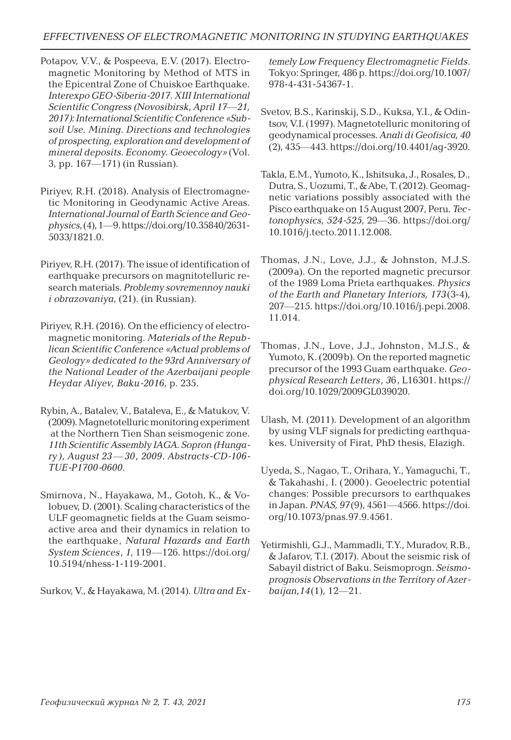- Potapov, V.V., & Pospeeva, E.V. (2017). Electromagnetic Monitoring by Method of MTS in the Epicentral Zone of Chuiskoe Earthquake. *Interexpo GEO-Siberia-2017. XIII International Scientific Congress (Novosibirsk, April 17*—*21, 2017): International Scientific Conference «Subsoil Use. Mining. Directions and technologies of prospecting, exploration and development of mineral deposits. Economy. Geoecology»* (Vol. 3, pp. 167—171) (in Russian).
- Piriyev, R.H. (2018). Analysis of Electromagnetic Monitoring in Geodynamic Active Areas. *International Journal of Earth Science and Geophysics*, (4), 1—9. https://doi.org/10.35840/2631- 5033/1821.0.
- Piriyev, R.H. (2017). The issue of identification of earthquake precursors on magnitotelluric research materials. *Problemy sovremennoy nauki i obrazovaniya*, (21). (in Russian).
- Piriyev, R.H. (2016). On the efficiency of electromagnetic monitoring. *Materials of the Republican Scientific Conference «Actual problems of Geology» dedicated to the 93rd Anniversary of the National Leader of the Azerbaijani people Heydar Aliyev, Baku-2016*, p. 235.
- Rybin, A., Batalev, V., Bataleva, E., & Matukov, V. (2009). Magnetotelluric monitoring experiment at the Northern Tien Shan seismogenic zone. *11th Scientific Assembly IAGA. Sopron (Hungary), August 23 —30, 2009. Abstracts-CD-106- TUE-P1700-0600*.
- Smirnova, N., Hayakawa, M., Gotoh, K., & Volobuev, D. (2001). Scaling characteristics of the ULF geomagnetic fields at the Guam seismoactive area and their dynamics in relation to the earthquake, *Natural Hazards and Earth System Sciences, 1*, 119—126. https://doi.org/ 10.5194/nhess-1-119-2001.

Surkov, V., & Hayakawa, M. (2014). *Ultra and Ex-*

*temely Low Frequency Electromagnetic Fields*. Tokyo: Springer, 486 p. https://doi.org/10.1007/ 978-4-431-54367-1.

- Svetov, B.S., Karinskij, S.D., Kuksa, Y.I., & Odintsov, V.I. (1997). Magnetotelluric monitoring of geodynamical processes. *Anali di Geofisica, 40* (2), 435—443. https://doi.org/10.4401/ag-3920.
- Takla, E.M., Yumoto, K., Ishitsuka, J., Rosales, D., Dutra, S., Uozumi, T., & Abe, T. (2012). Geomagnetic variations possibly associated with the Pisco earthquake on 15 August 2007, Peru. *Tectonophysics, 524-525*, 29—36. https://doi.org/ 10.1016/j.tecto.2011.12.008.
- Thomas, J.N., Love, J.J., & Johnston, M.J.S. (2009a). On the reported magnetic precursor of the 1989 Loma Prieta earthquakes. *Physics of the Earth and Planetary Interiors, 173*(3-4), 207—215. https://doi.org/10.1016/j.pepi.2008. 11.014.
- Thomas, J.N., Love, J.J., Johnston, M.J.S., & Yumoto, K. (2009b). On the reported magnetic precursor of the 1993 Guam earthquake. *Geophysical Research Letters, 3*6, L16301. https:// doi.org/10.1029/2009GL039020.
- Ulash, M. (2011). Development of an algorithm by using VLF signals for predicting earthquakes. University of Firat, PhD thesis, Elazigh.
- Uyeda, S., Nagao, T., Orihara, Y., Yamaguchi, T., & Takahashi, I. (2000). Geoelectric potential changes: Possible precursors to earthquakes in Japan. *PNAS, 97*(9), 4561—4566. https://doi. org/10.1073/pnas.97.9.4561.
- Yetirmishli, G.J., Mammadli, T.Y., Muradov, R.B., & Jafarov, T.I. (2017). About the seismic risk of Sabayil district of Baku. Seismoprogn. *Seismoprognosis Observations in the Territory of Azerbaijan,14*(1), 12—21.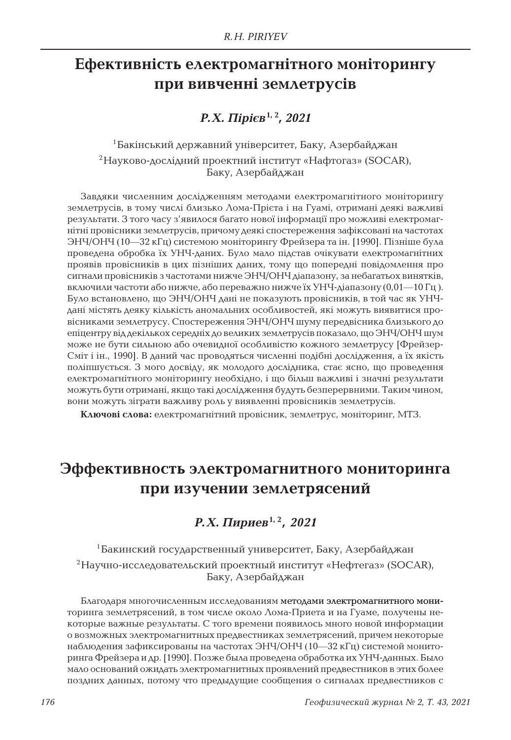# **Ефективність електромагнітного моніторингу при вивченні землетрусів**

## *Р.Х. Пірієв***1, 2***, 2021*

1Бакінський державний університет, Баку, Азербайджан 2Науково-дослідний проектний інститут «Нафтогаз» (SOCAR), Баку, Азербайджан

Завдяки численним дослідженням методами електромагнітного моніторингу землетрусів, в тому числі близько Лома-Прієта і на Гуамі, отримані деякі важливі результати. З того часу з'явилося багато нової інформації про можливі електромагнітні провісники землетрусів, причому деякі спостереження зафіксовані на частотах ЭНЧ/ОНЧ (10—32 кГц) системою моніторингу Фрейзера та ін. [1990]. Пізніше була проведена обробка їх УНЧ-даних. Було мало підстав очікувати електромагнітних проявів провісників в цих пізніших даних, тому що попередні повідомлення про сигнали провісників з частотами нижче ЭНЧ/ОНЧ діапазону, за небагатьох винятків, включили частоти або нижче, або переважно нижче їх УНЧ-діапазону (0,01—10 Гц). Було встановлено, що ЭНЧ/ОНЧ дані не показують провісників, в той час як УНЧдані містять деяку кількість аномальних особливостей, які можуть виявитися провісниками землетрусу. Спостереження ЭНЧ/ОНЧ шуму передвісника близького до епіцентру від декількох середніх до великих землетрусів показало, що ЭНЧ/ОНЧ шум може не бути сильною або очевидної особливістю кожного землетрусу [Фрейзер-Сміт і ін., 1990]. В даний час проводяться численні подібні дослідження, а їх якість поліпшується. З мого досвіду, як молодого дослідника, стає ясно, що проведення електромагнітного моніторингу необхідно, і що більш важливі і значні результати можуть бути отримані, якщо такі дослідження будуть безперервними. Таким чином, вони можуть зіграти важливу роль у виявленні провісників землетрусів.

**Ключові слова:** електромагнітний провісник, землетрус, моніторинг, MTЗ.

## **Эффективность электромагнитного мониторинга при изучении землетрясений**

## *Р.Х. Пириев***1, 2***, 2021*

1Бакинский государственный университет, Баку, Азербайджан <sup>2</sup>Научно-исследовательский проектный институт «Нефтегаз» (SOCAR), Баку, Азербайджан

Благодаря многочисленным исследованиям методами электромагнитного мониторинга землетрясений, в том числе около Лома-Приета и на Гуаме, получены некоторые важные результаты. С того времени появилось много новой информации о возможных электромагнитных предвестниках землетрясений, причем некоторые наблюдения зафиксированы на частотах ЭНЧ/ОНЧ (10—32 кГц) системой мониторинга Фрейзера и др. [1990]. Позже была проведена обработка их УНЧ-данных. Было мало оснований ожидать электромагнитных проявлений предвестников в этих более поздних данных, потому что предыдущие сообщения о сигналах предвестников с